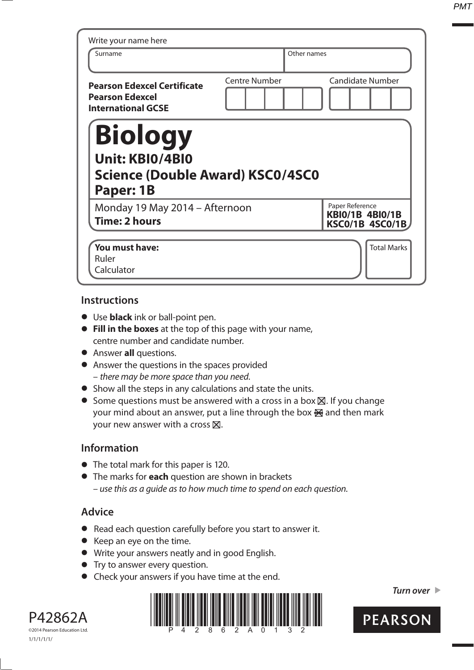| Write your name here<br>Surname                                                           | Other names          |                                                                     |
|-------------------------------------------------------------------------------------------|----------------------|---------------------------------------------------------------------|
| <b>Pearson Edexcel Certificate</b><br><b>Pearson Edexcel</b><br><b>International GCSE</b> | <b>Centre Number</b> | <b>Candidate Number</b>                                             |
| <b>Biology</b>                                                                            |                      |                                                                     |
| Unit: KBI0/4BI0<br>Science (Double Award) KSC0/4SC0<br>Paper: 1B                          |                      |                                                                     |
| Monday 19 May 2014 - Afternoon<br><b>Time: 2 hours</b>                                    |                      | Paper Reference<br><b>KBI0/1B 4BI0/1B</b><br><b>KSC0/1B 4SC0/1B</b> |

## **Instructions**

- **t** Use **black** ink or ball-point pen.
- **Fill in the boxes** at the top of this page with your name, centre number and candidate number.
- **•** Answer **all** questions.
- **•** Answer the questions in the spaces provided – there may be more space than you need.
- **•** Show all the steps in any calculations and state the units.
- $\bullet$  Some questions must be answered with a cross in a box  $\boxtimes$ . If you change your mind about an answer, put a line through the box  $\mathbb{R}$  and then mark your new answer with a cross  $\boxtimes$ .

## **Information**

- **•** The total mark for this paper is 120.
- **t** The marks for **each** question are shown in brackets – use this as a guide as to how much time to spend on each question.

## **Advice**

- **t** Read each question carefully before you start to answer it.
- **t** Keep an eye on the time.
- **t** Write your answers neatly and in good English.
- **•** Try to answer every question.
- **•** Check your answers if you have time at the end.





*Turn over* 

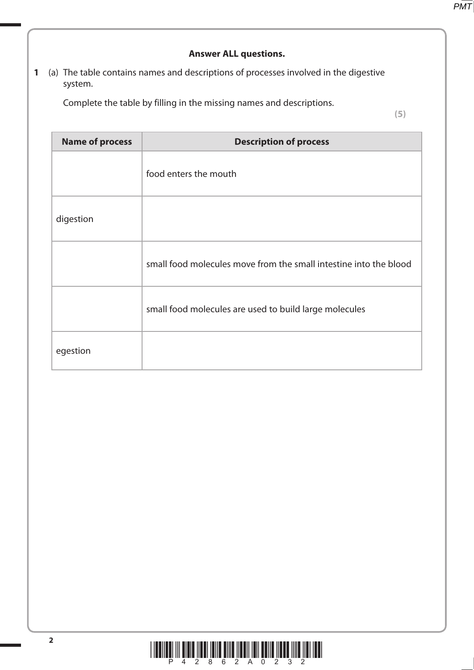## **Answer ALL questions.**

**1** (a) The table contains names and descriptions of processes involved in the digestive system.

Complete the table by filling in the missing names and descriptions.

**(5)**

| <b>Name of process</b> | <b>Description of process</b>                                     |
|------------------------|-------------------------------------------------------------------|
|                        | food enters the mouth                                             |
| digestion              |                                                                   |
|                        | small food molecules move from the small intestine into the blood |
|                        | small food molecules are used to build large molecules            |
| egestion               |                                                                   |

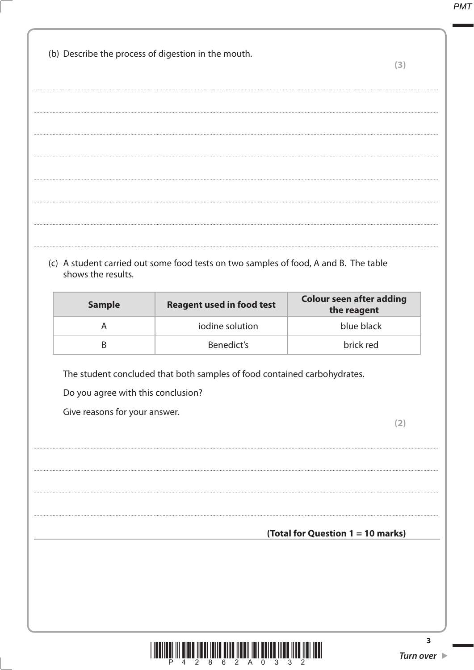|                                                                     | (b) Describe the process of digestion in the mouth.                                                                      | (3)                               |
|---------------------------------------------------------------------|--------------------------------------------------------------------------------------------------------------------------|-----------------------------------|
| shows the results.<br><b>Sample</b>                                 | (c) A student carried out some food tests on two samples of food, A and B. The table<br><b>Reagent used in food test</b> | <b>Colour seen after adding</b>   |
| A                                                                   | iodine solution                                                                                                          | the reagent<br>blue black         |
| B                                                                   | Benedict's                                                                                                               | brick red                         |
| Do you agree with this conclusion?<br>Give reasons for your answer. |                                                                                                                          | (2)                               |
|                                                                     |                                                                                                                          | (Total for Question 1 = 10 marks) |
|                                                                     |                                                                                                                          | Turn over $\blacktriangleright$   |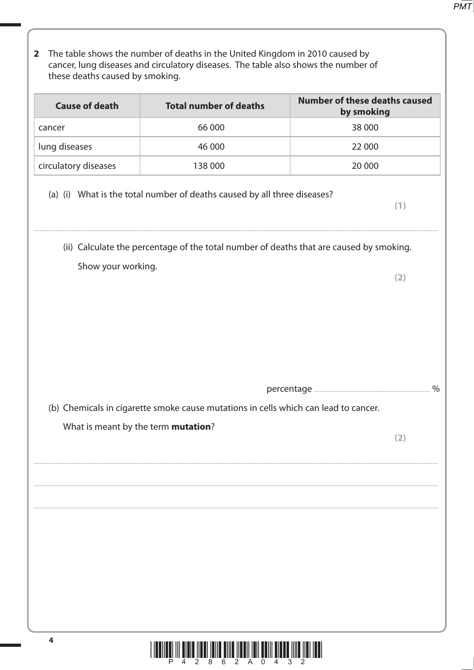| <b>Cause of death</b> | <b>Total number of deaths</b>                                                                                              | <b>Number of these deaths caused</b><br>by smoking |     |
|-----------------------|----------------------------------------------------------------------------------------------------------------------------|----------------------------------------------------|-----|
| cancer                | 66 000                                                                                                                     | 38 000                                             |     |
| lung diseases         | 46 000                                                                                                                     | 22 000                                             |     |
| circulatory diseases  | 138 000                                                                                                                    | 20 000                                             |     |
|                       | (a) (i) What is the total number of deaths caused by all three diseases?                                                   |                                                    | (1) |
|                       | (ii) Calculate the percentage of the total number of deaths that are caused by smoking.                                    |                                                    |     |
| Show your working.    |                                                                                                                            |                                                    | (2) |
|                       |                                                                                                                            | percentage                                         |     |
|                       | (b) Chemicals in cigarette smoke cause mutations in cells which can lead to cancer.<br>What is meant by the term mutation? |                                                    | (2) |
|                       |                                                                                                                            |                                                    |     |
|                       |                                                                                                                            |                                                    |     |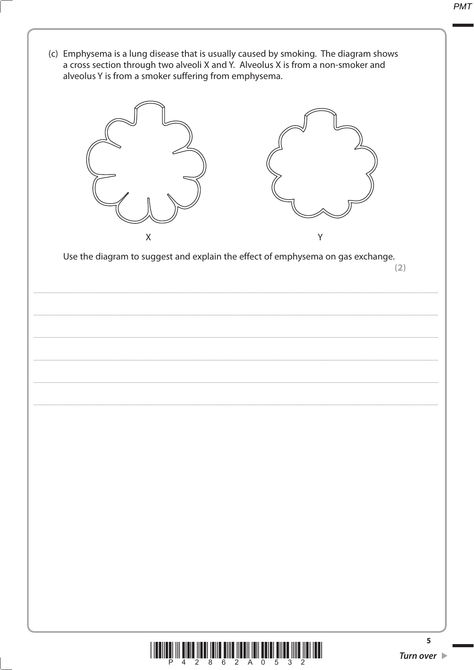

4 2 8 6 2 A 0 5 3

P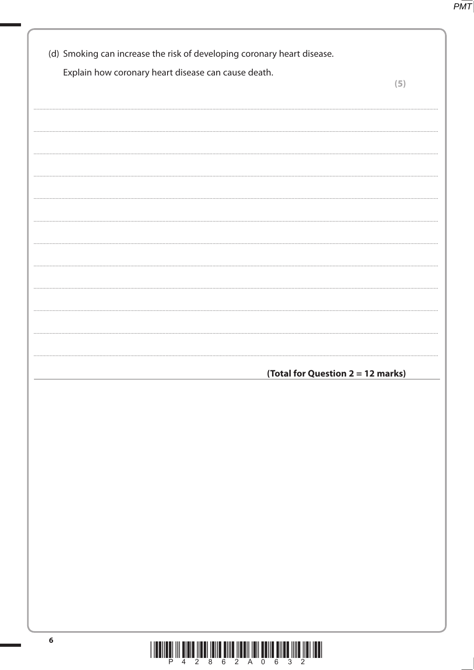| (d) Smoking can increase the risk of developing coronary heart disease.<br>Explain how coronary heart disease can cause death. |  |  |                                   |     |
|--------------------------------------------------------------------------------------------------------------------------------|--|--|-----------------------------------|-----|
|                                                                                                                                |  |  |                                   | (5) |
|                                                                                                                                |  |  |                                   |     |
|                                                                                                                                |  |  |                                   |     |
|                                                                                                                                |  |  |                                   |     |
|                                                                                                                                |  |  |                                   |     |
|                                                                                                                                |  |  |                                   |     |
|                                                                                                                                |  |  |                                   |     |
|                                                                                                                                |  |  |                                   |     |
|                                                                                                                                |  |  |                                   |     |
|                                                                                                                                |  |  |                                   |     |
|                                                                                                                                |  |  |                                   |     |
|                                                                                                                                |  |  |                                   |     |
|                                                                                                                                |  |  |                                   |     |
|                                                                                                                                |  |  |                                   |     |
|                                                                                                                                |  |  |                                   |     |
|                                                                                                                                |  |  |                                   |     |
|                                                                                                                                |  |  |                                   |     |
|                                                                                                                                |  |  |                                   |     |
|                                                                                                                                |  |  | (Total for Question 2 = 12 marks) |     |
|                                                                                                                                |  |  |                                   |     |
|                                                                                                                                |  |  |                                   |     |
|                                                                                                                                |  |  |                                   |     |
|                                                                                                                                |  |  |                                   |     |
|                                                                                                                                |  |  |                                   |     |
|                                                                                                                                |  |  |                                   |     |
|                                                                                                                                |  |  |                                   |     |
|                                                                                                                                |  |  |                                   |     |
|                                                                                                                                |  |  |                                   |     |
|                                                                                                                                |  |  |                                   |     |
|                                                                                                                                |  |  |                                   |     |
|                                                                                                                                |  |  |                                   |     |
|                                                                                                                                |  |  |                                   |     |
|                                                                                                                                |  |  |                                   |     |
|                                                                                                                                |  |  |                                   |     |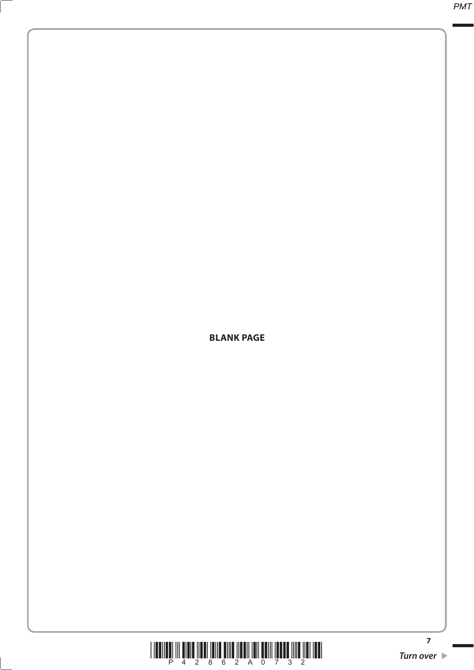$\frac{1}{2}$   $\frac{1}{2}$   $\frac{1}{8}$   $\frac{1}{6}$   $\frac{1}{2}$   $\frac{1}{4}$   $\frac{1}{2}$   $\frac{1}{8}$   $\frac{1}{6}$   $\frac{1}{2}$   $\frac{1}{4}$   $\frac{1}{2}$   $\frac{1}{8}$   $\frac{1}{6}$   $\frac{1}{2}$   $\frac{1}{4}$   $\frac{1}{2}$   $\frac{1}{8}$   $\frac{1}{6}$   $\frac{1}{2}$   $\frac{1}{4}$   $\frac{1}{2}$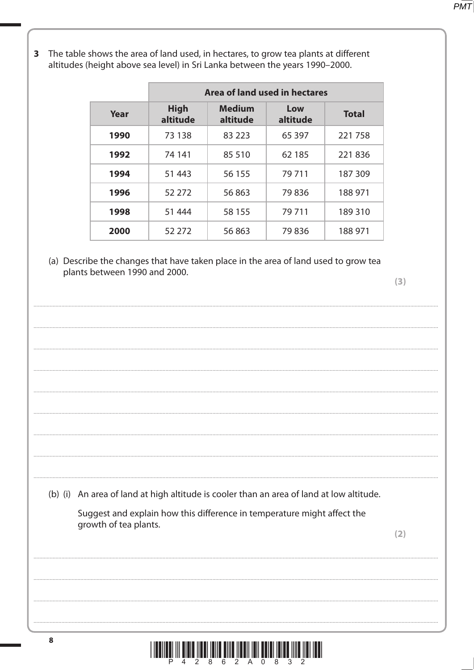3 The table shows the area of land used, in hectares, to grow tea plants at different altitudes (height above sea level) in Sri Lanka between the years 1990-2000.

|      | Area of land used in hectares |                           |                 |              |
|------|-------------------------------|---------------------------|-----------------|--------------|
| Year | <b>High</b><br>altitude       | <b>Medium</b><br>altitude | Low<br>altitude | <b>Total</b> |
| 1990 | 73 138                        | 83 2 23                   | 65 397          | 221 758      |
| 1992 | 74 141                        | 85 510                    | 62 185          | 221836       |
| 1994 | 51 443                        | 56 155                    | 79 711          | 187 309      |
| 1996 | 52 2 7 2                      | 56 863                    | 79836           | 188 971      |
| 1998 | 51 444                        | 58 155                    | 79711           | 189 310      |
| 2000 | 52 2 7 2                      | 56863                     | 79836           | 188 971      |

(a) Describe the changes that have taken place in the area of land used to grow tea plants between 1990 and 2000.

 $(3)$ 

(b) (i) An area of land at high altitude is cooler than an area of land at low altitude.

Suggest and explain how this difference in temperature might affect the growth of tea plants.

 $(2)$ 

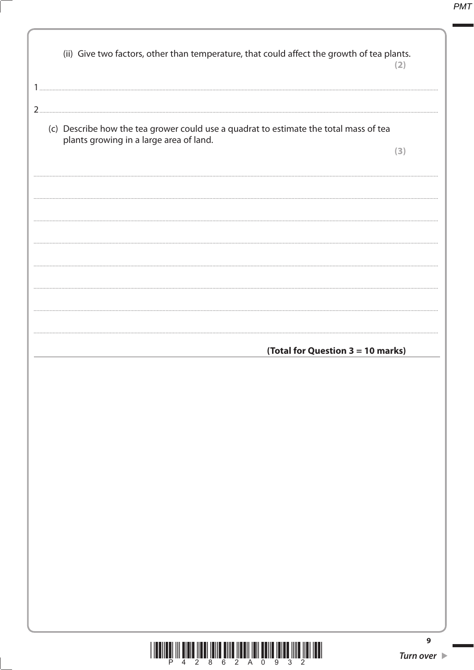| (ii) Give two factors, other than temperature, that could affect the growth of tea plants.                                       | (2) |
|----------------------------------------------------------------------------------------------------------------------------------|-----|
|                                                                                                                                  |     |
| (c) Describe how the tea grower could use a quadrat to estimate the total mass of tea<br>plants growing in a large area of land. |     |
|                                                                                                                                  | (3) |
|                                                                                                                                  |     |
|                                                                                                                                  |     |
|                                                                                                                                  |     |
|                                                                                                                                  |     |
|                                                                                                                                  |     |
| (Total for Question 3 = 10 marks)                                                                                                |     |
|                                                                                                                                  |     |
|                                                                                                                                  |     |
|                                                                                                                                  |     |
|                                                                                                                                  |     |
|                                                                                                                                  |     |
|                                                                                                                                  |     |
|                                                                                                                                  |     |
|                                                                                                                                  |     |
|                                                                                                                                  |     |
|                                                                                                                                  | 9   |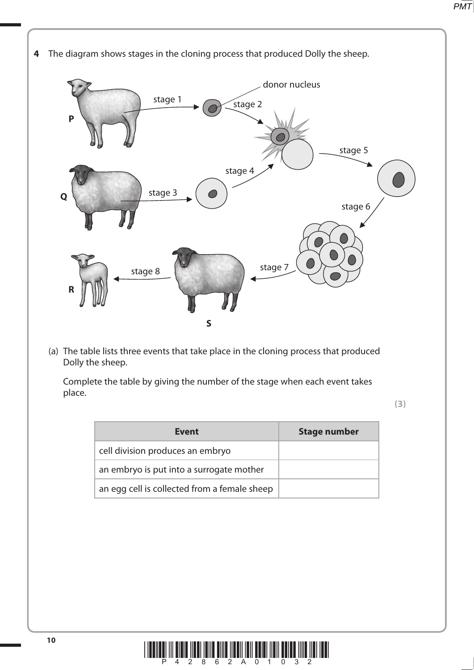

 (a) The table lists three events that take place in the cloning process that produced Dolly the sheep.

 Complete the table by giving the number of the stage when each event takes place.

**(3)**

| <b>Event</b>                                 | <b>Stage number</b> |
|----------------------------------------------|---------------------|
| cell division produces an embryo             |                     |
| an embryo is put into a surrogate mother     |                     |
| an egg cell is collected from a female sheep |                     |

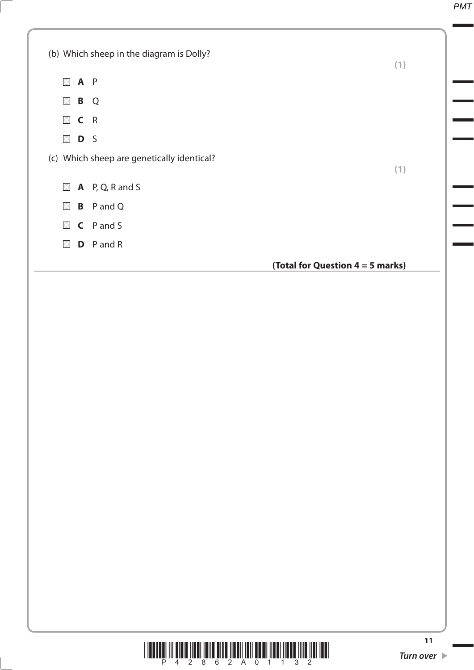|                          | (Total for Question 4 = 5 marks)           |     |
|--------------------------|--------------------------------------------|-----|
| $\times$                 | $D$ $P$ and $R$                            |     |
| $\times$<br>$\times$     | $\mathbf{B}$ P and Q<br>$C$ P and S        |     |
| $\times$                 | $A$ P, Q, R and S                          |     |
|                          | (c) Which sheep are genetically identical? | (1) |
| $\times$                 | D S                                        |     |
| $\times$                 | $C$ R                                      |     |
| $\times$<br>$\mathbf{B}$ | Q                                          |     |
| <b>AP</b>                |                                            |     |
|                          |                                            | (1) |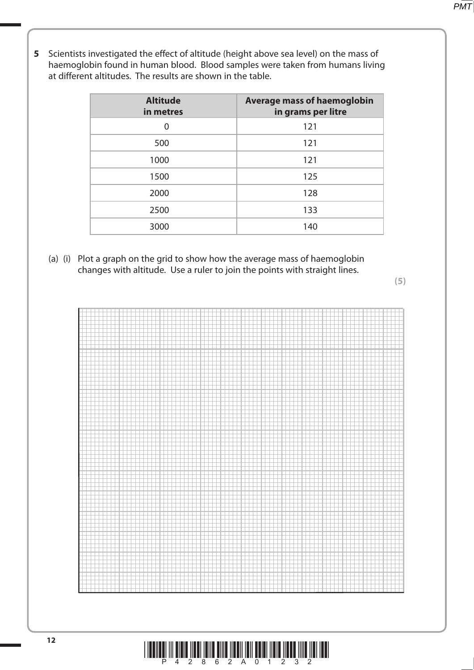**5** Scientists investigated the effect of altitude (height above sea level) on the mass of haemoglobin found in human blood. Blood samples were taken from humans living at different altitudes. The results are shown in the table.

| <b>Altitude</b><br>in metres | <b>Average mass of haemoglobin</b><br>in grams per litre |
|------------------------------|----------------------------------------------------------|
| ∩                            | 121                                                      |
| 500                          | 121                                                      |
| 1000                         | 121                                                      |
| 1500                         | 125                                                      |
| 2000                         | 128                                                      |
| 2500                         | 133                                                      |
| 3000                         | 140                                                      |

 (a) (i) Plot a graph on the grid to show how the average mass of haemoglobin changes with altitude. Use a ruler to join the points with straight lines.

**(5)**



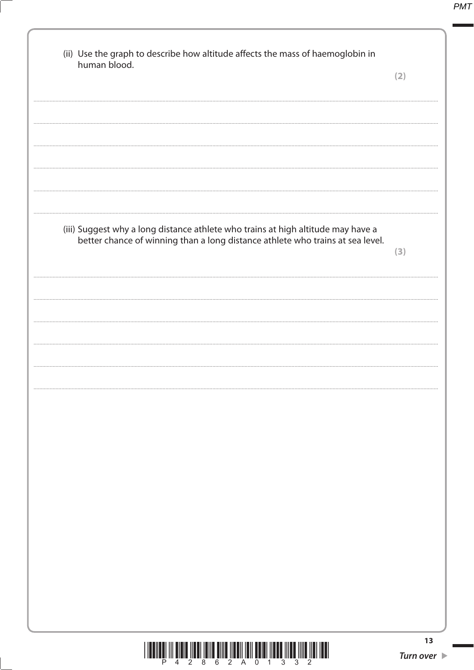(ii) Use the graph to describe how altitude affects the mass of haemoglobin in human blood.  $(2)$ (iii) Suggest why a long distance athlete who trains at high altitude may have a better chance of winning than a long distance athlete who trains at sea level.  $(3)$  $13$ 

P 4 2 8 6 2 A 0 1 3 3 2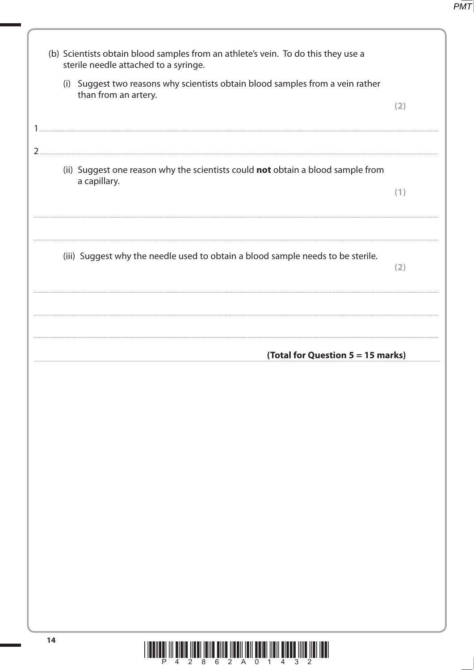|                | (b) Scientists obtain blood samples from an athlete's vein. To do this they use a<br>sterile needle attached to a syringe.<br>(i) Suggest two reasons why scientists obtain blood samples from a vein rather<br>than from an artery. | (2) |
|----------------|--------------------------------------------------------------------------------------------------------------------------------------------------------------------------------------------------------------------------------------|-----|
| 2 <sub>1</sub> | (ii) Suggest one reason why the scientists could not obtain a blood sample from<br>a capillary.                                                                                                                                      | (1) |
|                | (iii) Suggest why the needle used to obtain a blood sample needs to be sterile.                                                                                                                                                      | (2) |
|                | (Total for Question 5 = 15 marks)                                                                                                                                                                                                    |     |
|                |                                                                                                                                                                                                                                      |     |
|                |                                                                                                                                                                                                                                      |     |
|                |                                                                                                                                                                                                                                      |     |
| 14             |                                                                                                                                                                                                                                      |     |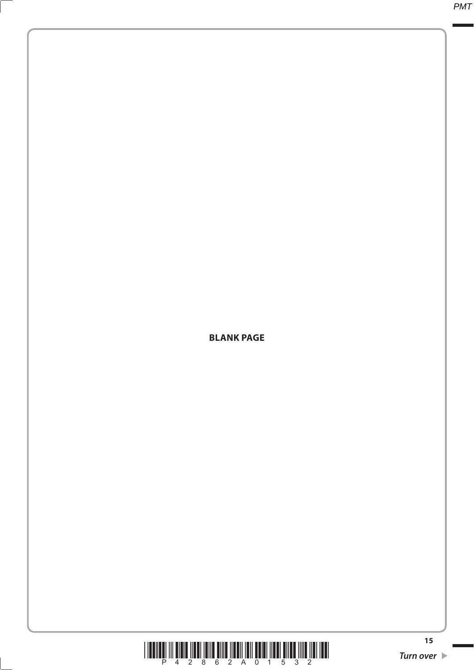

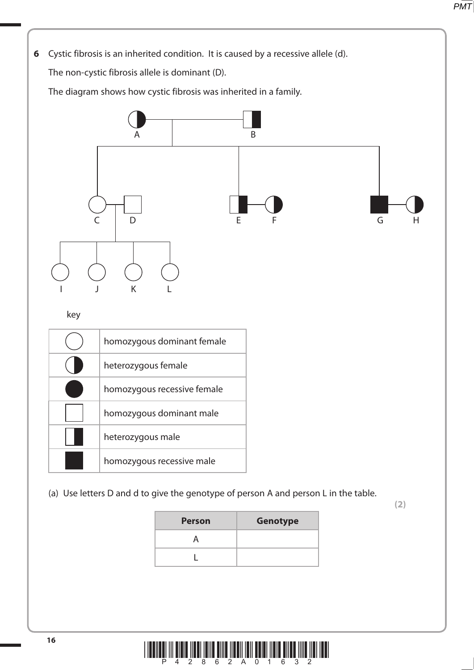

**(2)**

| <b>Person</b> | Genotype |
|---------------|----------|
|               |          |
|               |          |

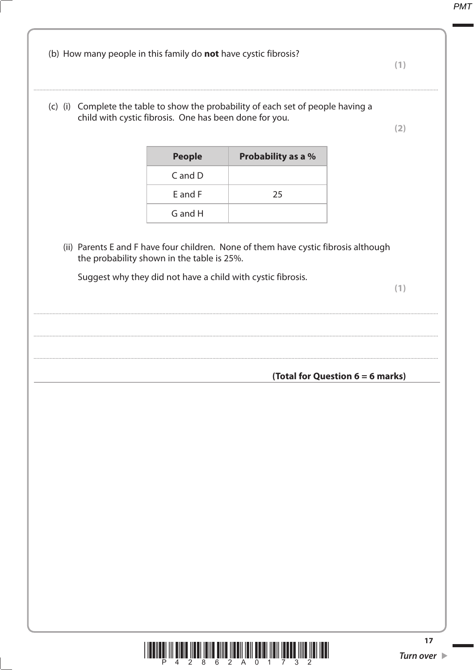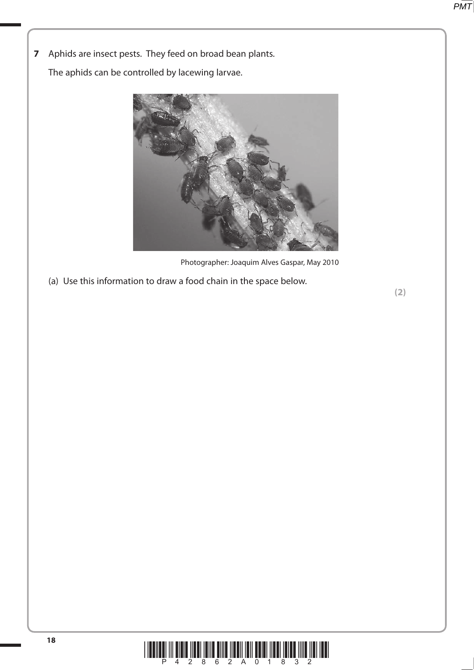**7** Aphids are insect pests. They feed on broad bean plants. The aphids can be controlled by lacewing larvae.



Photographer: Joaquim Alves Gaspar, May 2010

(a) Use this information to draw a food chain in the space below.

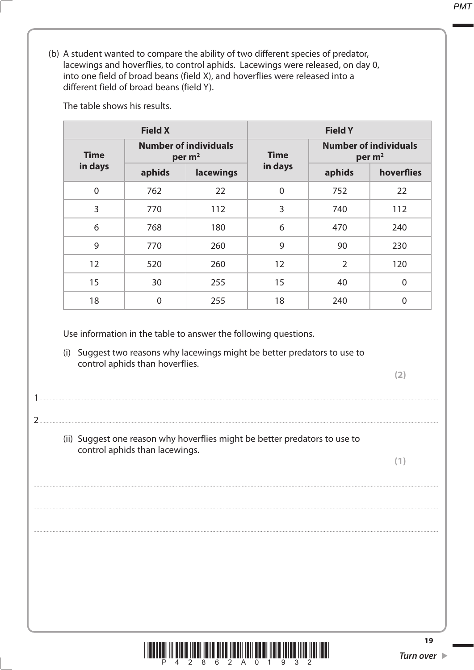(b) A student wanted to compare the ability of two different species of predator, lacewings and hoverflies, to control aphids. Lacewings were released, on day 0, into one field of broad beans (field X), and hoverflies were released into a different field of broad beans (field Y).

The table shows his results.

|             | <b>Field X</b>                           |           | <b>Field Y</b> |                                          |                |
|-------------|------------------------------------------|-----------|----------------|------------------------------------------|----------------|
| <b>Time</b> | <b>Number of individuals</b><br>per $m2$ |           | <b>Time</b>    | <b>Number of individuals</b><br>per $m2$ |                |
| in days     | aphids                                   | lacewings | in days        | aphids                                   | hoverflies     |
| $\mathbf 0$ | 762                                      | 22        | $\mathbf 0$    | 752                                      | 22             |
| 3           | 770                                      | 112       | 3              | 740                                      | 112            |
| 6           | 768                                      | 180       | 6              | 470                                      | 240            |
| 9           | 770                                      | 260       | 9              | 90                                       | 230            |
| 12          | 520                                      | 260       | 12             | $\overline{2}$                           | 120            |
| 15          | 30                                       | 255       | 15             | 40                                       | $\overline{0}$ |
| 18          | $\overline{0}$                           | 255       | 18             | 240                                      | 0              |

Use information in the table to answer the following questions.

 (i) Suggest two reasons why lacewings might be better predators to use to control aphids than hoverflies.

**(2)**

 $1 \quad \text{or} \quad \text{or} \quad \text{or} \quad \text{or} \quad \text{or} \quad \text{or} \quad \text{or} \quad \text{or} \quad \text{or} \quad \text{or} \quad \text{or} \quad \text{or} \quad \text{or} \quad \text{or} \quad \text{or} \quad \text{or} \quad \text{or} \quad \text{or} \quad \text{or} \quad \text{or} \quad \text{or} \quad \text{or} \quad \text{or} \quad \text{or} \quad \text{or} \quad \text{or} \quad \text{or} \quad \text{or} \quad \text{or} \quad \text{or} \quad \text{or} \quad$ 

- 2 ................................................................................................................................................................................................................................................................................
	- (ii) Suggest one reason why hoverflies might be better predators to use to control aphids than lacewings.

....................................................................................................................................................................................................................................................................................

....................................................................................................................................................................................................................................................................................

....................................................................................................................................................................................................................................................................................

**(1)**

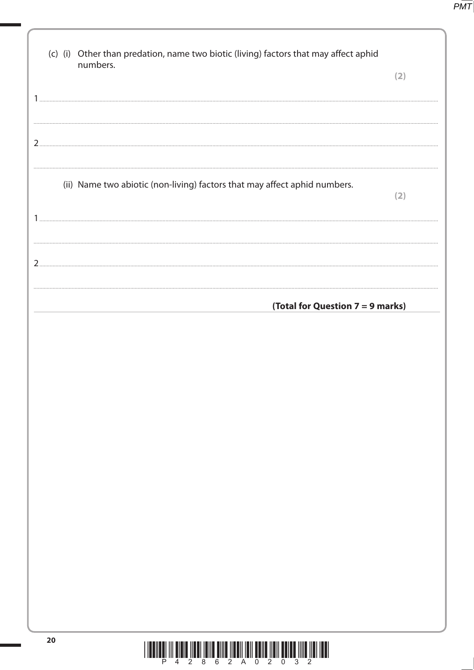(c) (i) Other than predation, name two biotic (living) factors that may affect aphid numbers.  $(2)$ (ii) Name two abiotic (non-living) factors that may affect aphid numbers.  $(2)$ (Total for Question 7 = 9 marks) 20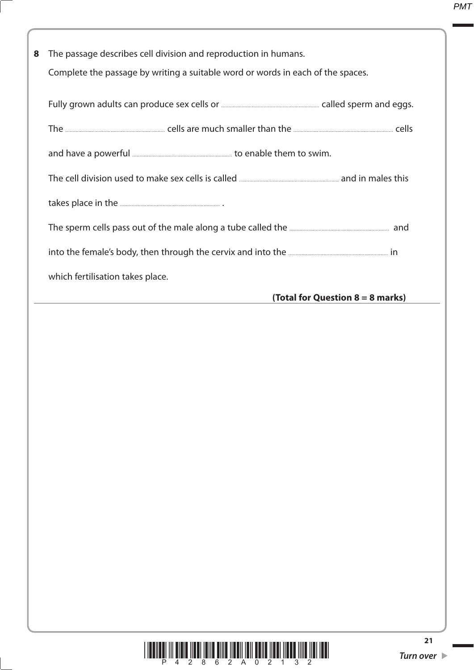|                                  | The passage describes cell division and reproduction in humans.<br>Complete the passage by writing a suitable word or words in each of the spaces. |                                  |  |  |
|----------------------------------|----------------------------------------------------------------------------------------------------------------------------------------------------|----------------------------------|--|--|
|                                  |                                                                                                                                                    |                                  |  |  |
|                                  |                                                                                                                                                    |                                  |  |  |
|                                  |                                                                                                                                                    |                                  |  |  |
|                                  |                                                                                                                                                    |                                  |  |  |
|                                  |                                                                                                                                                    |                                  |  |  |
|                                  |                                                                                                                                                    |                                  |  |  |
|                                  |                                                                                                                                                    |                                  |  |  |
|                                  |                                                                                                                                                    |                                  |  |  |
| which fertilisation takes place. |                                                                                                                                                    |                                  |  |  |
|                                  |                                                                                                                                                    | (Total for Question 8 = 8 marks) |  |  |
|                                  |                                                                                                                                                    |                                  |  |  |
|                                  |                                                                                                                                                    |                                  |  |  |
|                                  |                                                                                                                                                    |                                  |  |  |
|                                  |                                                                                                                                                    |                                  |  |  |
|                                  |                                                                                                                                                    |                                  |  |  |
|                                  |                                                                                                                                                    |                                  |  |  |
|                                  |                                                                                                                                                    |                                  |  |  |
|                                  |                                                                                                                                                    |                                  |  |  |
|                                  |                                                                                                                                                    |                                  |  |  |
|                                  |                                                                                                                                                    |                                  |  |  |
|                                  |                                                                                                                                                    |                                  |  |  |
|                                  |                                                                                                                                                    |                                  |  |  |
|                                  |                                                                                                                                                    |                                  |  |  |
|                                  |                                                                                                                                                    |                                  |  |  |
|                                  |                                                                                                                                                    |                                  |  |  |

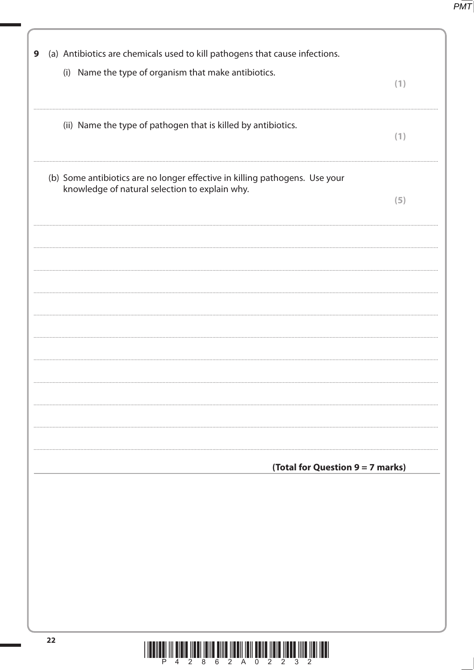| 9 |    | (a) Antibiotics are chemicals used to kill pathogens that cause infections.                                                   |     |
|---|----|-------------------------------------------------------------------------------------------------------------------------------|-----|
|   |    | (i) Name the type of organism that make antibiotics.                                                                          | (1) |
|   |    | (ii) Name the type of pathogen that is killed by antibiotics.                                                                 | (1) |
|   |    | (b) Some antibiotics are no longer effective in killing pathogens. Use your<br>knowledge of natural selection to explain why. | (5) |
|   |    |                                                                                                                               |     |
|   |    |                                                                                                                               |     |
|   |    |                                                                                                                               |     |
|   |    |                                                                                                                               |     |
|   |    | (Total for Question 9 = 7 marks)                                                                                              |     |
|   |    |                                                                                                                               |     |
|   |    |                                                                                                                               |     |
|   |    |                                                                                                                               |     |
|   | 22 |                                                                                                                               |     |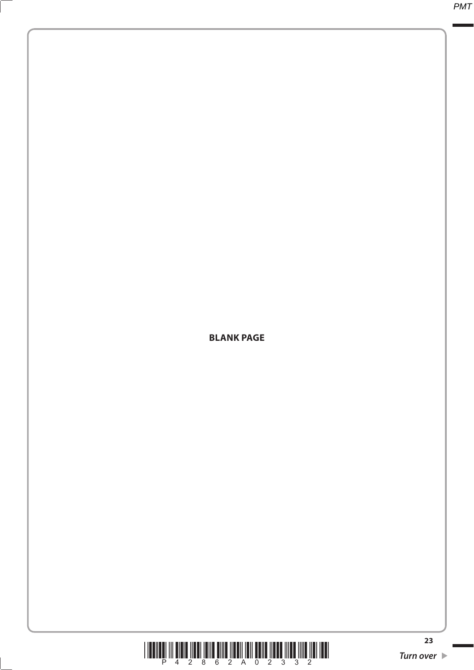

 $\frac{23}{4}$   $\frac{23}{4}$   $\frac{23}{2}$   $\frac{8}{6}$   $\frac{6}{2}$   $\frac{2}{A}$   $\frac{1}{0}$   $\frac{2}{2}$   $\frac{3}{3}$   $\frac{3}{2}$   $\frac{2}{2}$  *Turn over*  $\triangleright$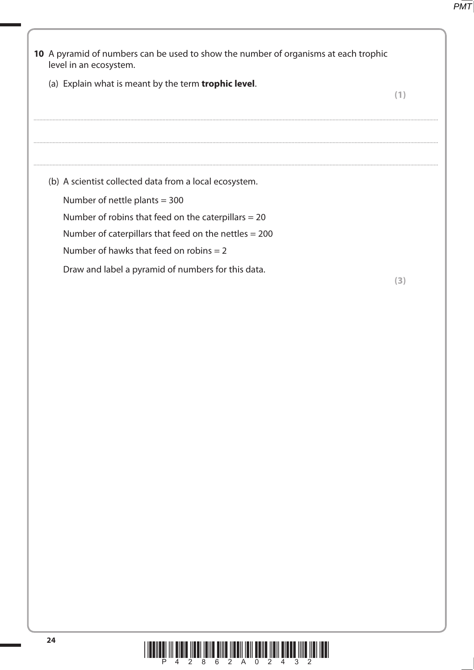| 10 A pyramid of numbers can be used to show the number of organisms at each trophic<br>level in an ecosystem. |     |
|---------------------------------------------------------------------------------------------------------------|-----|
| (a) Explain what is meant by the term trophic level.                                                          | (1) |
|                                                                                                               |     |
|                                                                                                               |     |
| (b) A scientist collected data from a local ecosystem.                                                        |     |
| Number of nettle plants = $300$                                                                               |     |
| Number of robins that feed on the caterpillars $= 20$                                                         |     |
| Number of caterpillars that feed on the nettles $= 200$                                                       |     |
| Number of hawks that feed on robins $= 2$                                                                     |     |
| Draw and label a pyramid of numbers for this data.                                                            |     |
|                                                                                                               | (3) |
|                                                                                                               |     |
|                                                                                                               |     |
|                                                                                                               |     |
|                                                                                                               |     |
|                                                                                                               |     |
|                                                                                                               |     |
|                                                                                                               |     |
|                                                                                                               |     |
|                                                                                                               |     |
|                                                                                                               |     |
|                                                                                                               |     |
|                                                                                                               |     |
|                                                                                                               |     |
|                                                                                                               |     |
|                                                                                                               |     |
|                                                                                                               |     |
|                                                                                                               |     |
|                                                                                                               |     |
|                                                                                                               |     |
|                                                                                                               |     |

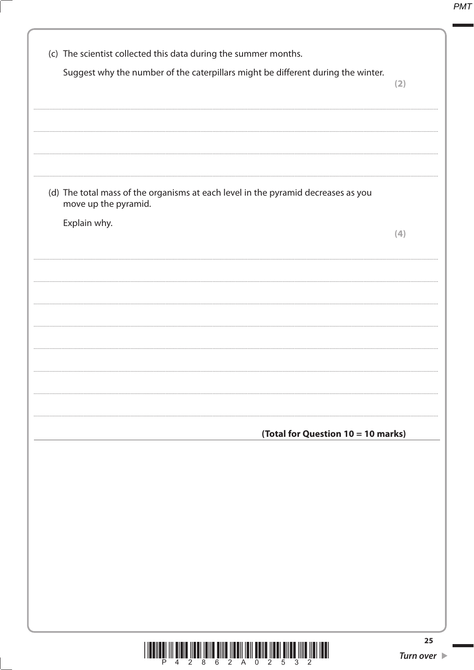| Suggest why the number of the caterpillars might be different during the winter.                          |     |
|-----------------------------------------------------------------------------------------------------------|-----|
|                                                                                                           | (2) |
|                                                                                                           |     |
|                                                                                                           |     |
|                                                                                                           |     |
| (d) The total mass of the organisms at each level in the pyramid decreases as you<br>move up the pyramid. |     |
| Explain why.                                                                                              |     |
|                                                                                                           | (4) |
|                                                                                                           |     |
|                                                                                                           |     |
|                                                                                                           |     |
|                                                                                                           |     |
|                                                                                                           |     |
|                                                                                                           |     |
|                                                                                                           |     |
|                                                                                                           |     |
| (Total for Question 10 = 10 marks)                                                                        |     |
|                                                                                                           |     |
|                                                                                                           |     |
|                                                                                                           |     |
|                                                                                                           |     |
|                                                                                                           |     |
|                                                                                                           |     |
|                                                                                                           |     |
|                                                                                                           |     |
|                                                                                                           |     |

1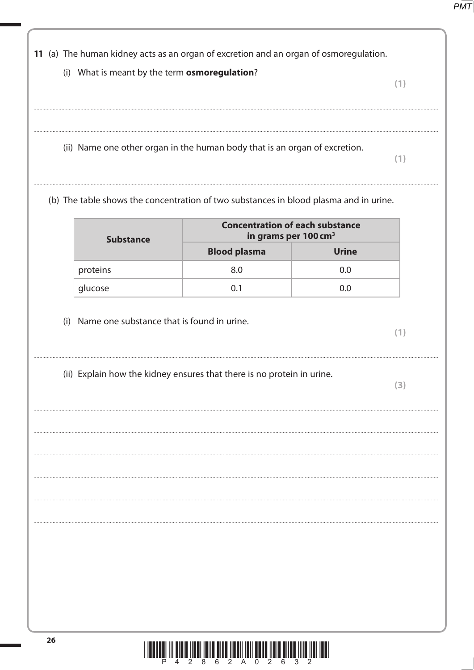

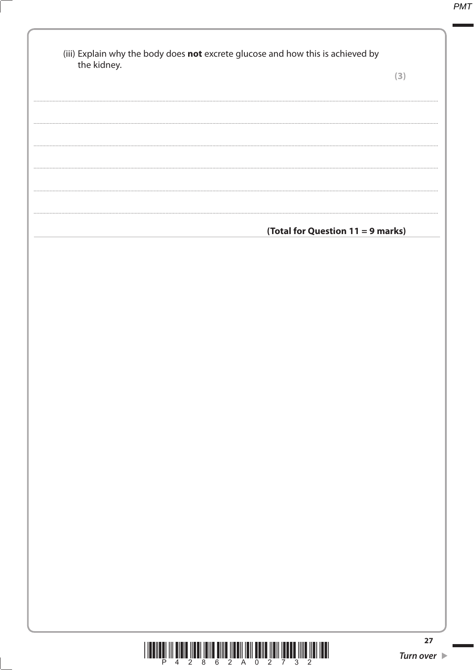| (iii) Explain why the body does not excrete glucose and how this is achieved by |                                 |
|---------------------------------------------------------------------------------|---------------------------------|
| the kidney.                                                                     | (3)                             |
|                                                                                 |                                 |
|                                                                                 |                                 |
|                                                                                 |                                 |
|                                                                                 |                                 |
|                                                                                 |                                 |
| (Total for Question 11 = 9 marks)                                               |                                 |
|                                                                                 |                                 |
|                                                                                 |                                 |
|                                                                                 |                                 |
|                                                                                 |                                 |
|                                                                                 |                                 |
|                                                                                 |                                 |
|                                                                                 |                                 |
|                                                                                 |                                 |
|                                                                                 |                                 |
|                                                                                 |                                 |
|                                                                                 |                                 |
|                                                                                 |                                 |
|                                                                                 |                                 |
|                                                                                 |                                 |
|                                                                                 |                                 |
|                                                                                 | 27                              |
|                                                                                 | Turn over $\blacktriangleright$ |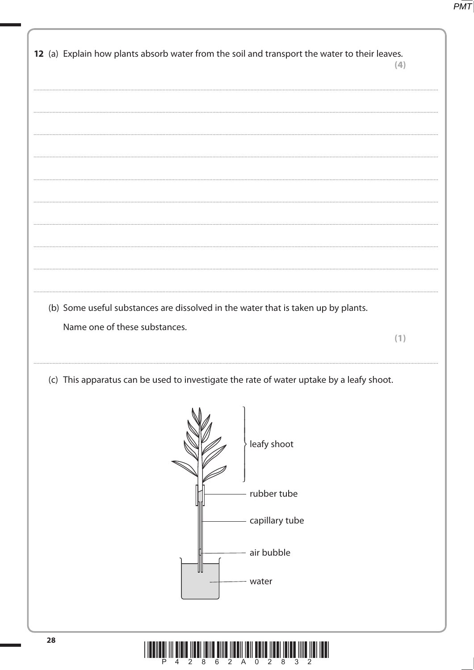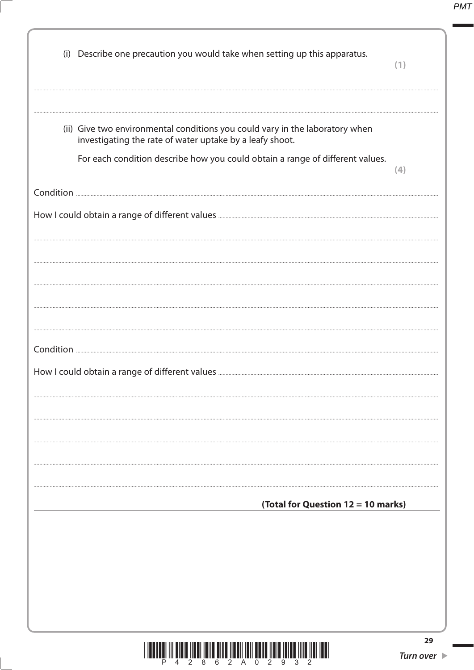| (i) Describe one precaution you would take when setting up this apparatus.                                                                                                                                                | (1) |
|---------------------------------------------------------------------------------------------------------------------------------------------------------------------------------------------------------------------------|-----|
| (ii) Give two environmental conditions you could vary in the laboratory when<br>investigating the rate of water uptake by a leafy shoot.<br>For each condition describe how you could obtain a range of different values. | (4) |
|                                                                                                                                                                                                                           |     |
|                                                                                                                                                                                                                           |     |
| (Total for Question 12 = 10 marks)                                                                                                                                                                                        |     |
|                                                                                                                                                                                                                           |     |

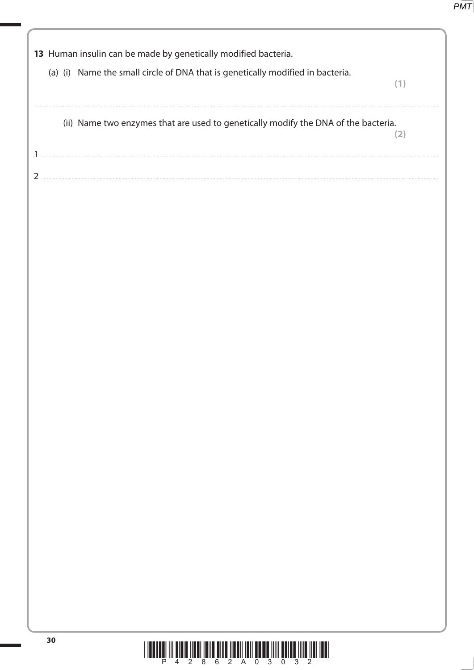|  | 13 Human insulin can be made by genetically modified bacteria.<br>(a) (i) Name the small circle of DNA that is genetically modified in bacteria. |  |
|--|--------------------------------------------------------------------------------------------------------------------------------------------------|--|
|  | (ii) Name two enzymes that are used to genetically modify the DNA of the bacteria.                                                               |  |
|  |                                                                                                                                                  |  |
|  |                                                                                                                                                  |  |